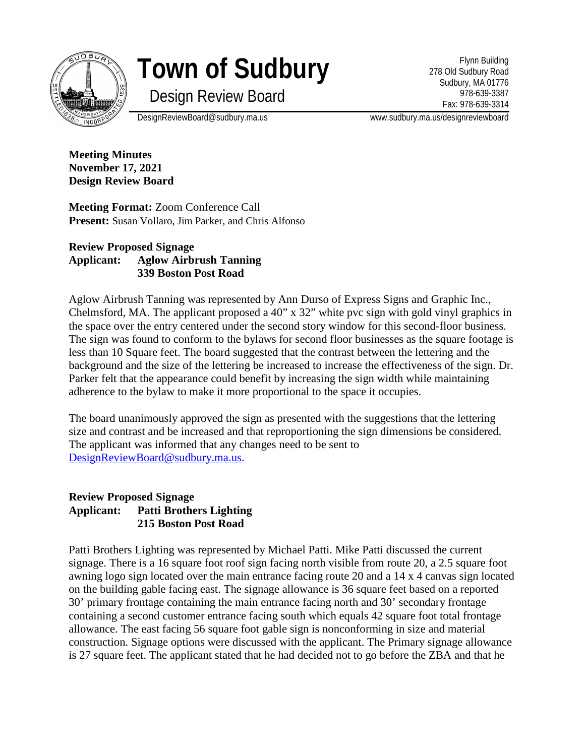

## **Town of Sudbury**

Design Review Board

Flynn Building 278 Old Sudbury Road Sudbury, MA 01776 978-639-3387 Fax: 978-639-3314

DesignReviewBoard@sudbury.ma.us www.sudbury.ma.us/designreviewboard

**Meeting Minutes November 17, 2021 Design Review Board**

**Meeting Format:** Zoom Conference Call **Present:** Susan Vollaro, Jim Parker, and Chris Alfonso

## **Review Proposed Signage Applicant: Aglow Airbrush Tanning 339 Boston Post Road**

Aglow Airbrush Tanning was represented by Ann Durso of Express Signs and Graphic Inc., Chelmsford, MA. The applicant proposed a 40" x 32" white pvc sign with gold vinyl graphics in the space over the entry centered under the second story window for this second-floor business. The sign was found to conform to the bylaws for second floor businesses as the square footage is less than 10 Square feet. The board suggested that the contrast between the lettering and the background and the size of the lettering be increased to increase the effectiveness of the sign. Dr. Parker felt that the appearance could benefit by increasing the sign width while maintaining adherence to the bylaw to make it more proportional to the space it occupies.

The board unanimously approved the sign as presented with the suggestions that the lettering size and contrast and be increased and that reproportioning the sign dimensions be considered. The applicant was informed that any changes need to be sent to [DesignReviewBoard@sudbury.ma.us.](mailto:DesignReviewBoard@sudbury.ma.us)

## **Review Proposed Signage Applicant: Patti Brothers Lighting 215 Boston Post Road**

Patti Brothers Lighting was represented by Michael Patti. Mike Patti discussed the current signage. There is a 16 square foot roof sign facing north visible from route 20, a 2.5 square foot awning logo sign located over the main entrance facing route 20 and a 14 x 4 canvas sign located on the building gable facing east. The signage allowance is 36 square feet based on a reported 30' primary frontage containing the main entrance facing north and 30' secondary frontage containing a second customer entrance facing south which equals 42 square foot total frontage allowance. The east facing 56 square foot gable sign is nonconforming in size and material construction. Signage options were discussed with the applicant. The Primary signage allowance is 27 square feet. The applicant stated that he had decided not to go before the ZBA and that he